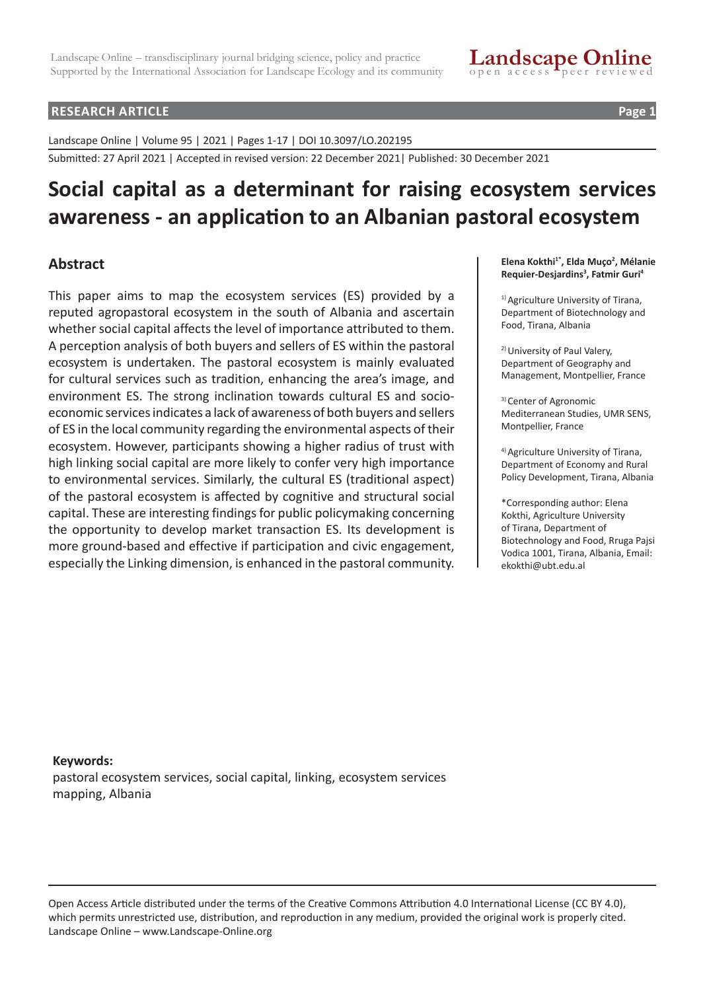#### **RESEARCH ARTICLE Page 1**

Landscape Online | Volume 95 | 2021 | Pages 1-17 | DOI 10.3097/LO.202195

Submitted: 27 April 2021 | Accepted in revised version: 22 December 2021| Published: 30 December 2021

# **Social capital as a determinant for raising ecosystem services awareness - an application to an Albanian pastoral ecosystem**

# **Abstract**

This paper aims to map the ecosystem services (ES) provided by a reputed agropastoral ecosystem in the south of Albania and ascertain whether social capital affects the level of importance attributed to them. A perception analysis of both buyers and sellers of ES within the pastoral ecosystem is undertaken. The pastoral ecosystem is mainly evaluated for cultural services such as tradition, enhancing the area's image, and environment ES. The strong inclination towards cultural ES and socioeconomic services indicates a lack of awareness of both buyers and sellers of ES in the local community regarding the environmental aspects of their ecosystem. However, participants showing a higher radius of trust with high linking social capital are more likely to confer very high importance to environmental services. Similarly, the cultural ES (traditional aspect) of the pastoral ecosystem is affected by cognitive and structural social capital. These are interesting findings for public policymaking concerning the opportunity to develop market transaction ES. Its development is more ground-based and effective if participation and civic engagement, especially the Linking dimension, is enhanced in the pastoral community.

**Elena Kokthi1\*, Elda Muço2 , Mélanie Requier-Desjardins3 , Fatmir Guri4**

<sup>1)</sup> Agriculture University of Tirana, Department of Biotechnology and Food, Tirana, Albania

2) University of Paul Valery, Department of Geography and Management, Montpellier, France

3) Center of Agronomic Mediterranean Studies, UMR SENS, Montpellier, France

4) Agriculture University of Tirana, Department of Economy and Rural Policy Development, Tirana, Albania

\*Corresponding author: Elena Kokthi, Agriculture University of Tirana, Department of Biotechnology and Food, Rruga Pajsi Vodica 1001, Tirana, Albania, Email: ekokthi@ubt.edu.al

**Keywords:** pastoral ecosystem services, social capital, linking, ecosystem services mapping, Albania

Open Access Article distributed under the terms of the Creative Commons Attribution 4.0 International License (CC BY 4.0), which permits unrestricted use, distribution, and reproduction in any medium, provided the original work is properly cited. Landscape Online – www.Landscape-Online.org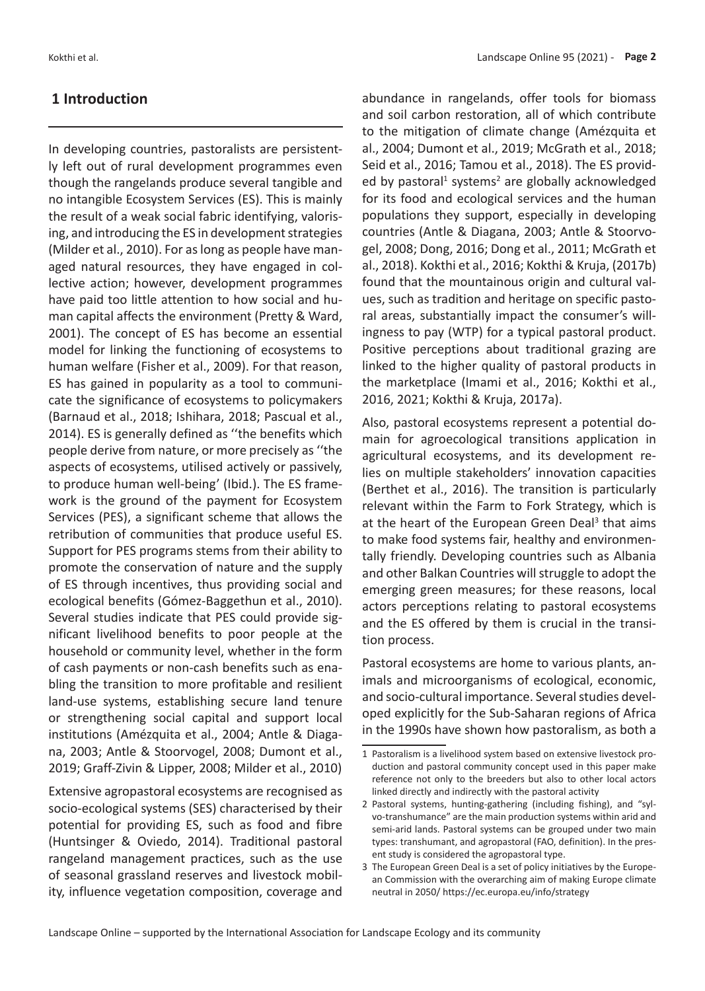### **1 Introduction**

In developing countries, pastoralists are persistently left out of rural development programmes even though the rangelands produce several tangible and no intangible Ecosystem Services (ES). This is mainly the result of a weak social fabric identifying, valorising, and introducing the ES in development strategies (Milder et al., 2010). For as long as people have managed natural resources, they have engaged in collective action; however, development programmes have paid too little attention to how social and human capital affects the environment (Pretty & Ward, 2001). The concept of ES has become an essential model for linking the functioning of ecosystems to human welfare (Fisher et al., 2009). For that reason, ES has gained in popularity as a tool to communicate the significance of ecosystems to policymakers (Barnaud et al., 2018; Ishihara, 2018; Pascual et al., 2014). ES is generally defined as ''the benefits which people derive from nature, or more precisely as ''the aspects of ecosystems, utilised actively or passively, to produce human well-being' (Ibid.). The ES framework is the ground of the payment for Ecosystem Services (PES), a significant scheme that allows the retribution of communities that produce useful ES. Support for PES programs stems from their ability to promote the conservation of nature and the supply of ES through incentives, thus providing social and ecological benefits (Gómez-Baggethun et al., 2010). Several studies indicate that PES could provide significant livelihood benefits to poor people at the household or community level, whether in the form of cash payments or non-cash benefits such as enabling the transition to more profitable and resilient land-use systems, establishing secure land tenure or strengthening social capital and support local institutions (Amézquita et al., 2004; Antle & Diagana, 2003; Antle & Stoorvogel, 2008; Dumont et al., 2019; Graff-Zivin & Lipper, 2008; Milder et al., 2010)

Extensive agropastoral ecosystems are recognised as socio-ecological systems (SES) characterised by their potential for providing ES, such as food and fibre (Huntsinger & Oviedo, 2014). Traditional pastoral rangeland management practices, such as the use of seasonal grassland reserves and livestock mobility, influence vegetation composition, coverage and abundance in rangelands, offer tools for biomass and soil carbon restoration, all of which contribute to the mitigation of climate change (Amézquita et al., 2004; Dumont et al., 2019; McGrath et al., 2018; Seid et al., 2016; Tamou et al., 2018). The ES provided by pastoral<sup>1</sup> systems<sup>2</sup> are globally acknowledged for its food and ecological services and the human populations they support, especially in developing countries (Antle & Diagana, 2003; Antle & Stoorvogel, 2008; Dong, 2016; Dong et al., 2011; McGrath et al., 2018). Kokthi et al., 2016; Kokthi & Kruja, (2017b) found that the mountainous origin and cultural values, such as tradition and heritage on specific pastoral areas, substantially impact the consumer's willingness to pay (WTP) for a typical pastoral product. Positive perceptions about traditional grazing are linked to the higher quality of pastoral products in the marketplace (Imami et al., 2016; Kokthi et al., 2016, 2021; Kokthi & Kruja, 2017a).

Also, pastoral ecosystems represent a potential domain for agroecological transitions application in agricultural ecosystems, and its development relies on multiple stakeholders' innovation capacities (Berthet et al., 2016). The transition is particularly relevant within the Farm to Fork Strategy, which is at the heart of the European Green Deal<sup>3</sup> that aims to make food systems fair, healthy and environmentally friendly. Developing countries such as Albania and other Balkan Countries will struggle to adopt the emerging green measures; for these reasons, local actors perceptions relating to pastoral ecosystems and the ES offered by them is crucial in the transition process.

Pastoral ecosystems are home to various plants, animals and microorganisms of ecological, economic, and socio-cultural importance. Several studies developed explicitly for the Sub-Saharan regions of Africa in the 1990s have shown how pastoralism, as both a

<sup>1</sup> Pastoralism is a livelihood system based on extensive livestock production and pastoral community concept used in this paper make reference not only to the breeders but also to other local actors linked directly and indirectly with the pastoral activity

<sup>2</sup> Pastoral systems, hunting-gathering (including fishing), and "sylvo-transhumance" are the main production systems within arid and semi-arid lands. Pastoral systems can be grouped under two main types: transhumant, and agropastoral (FAO, definition). In the present study is considered the agropastoral type.

<sup>3</sup> The European Green Deal is a set of policy initiatives by the European Commission with the overarching aim of making Europe climate neutral in 2050/ https://ec.europa.eu/info/strategy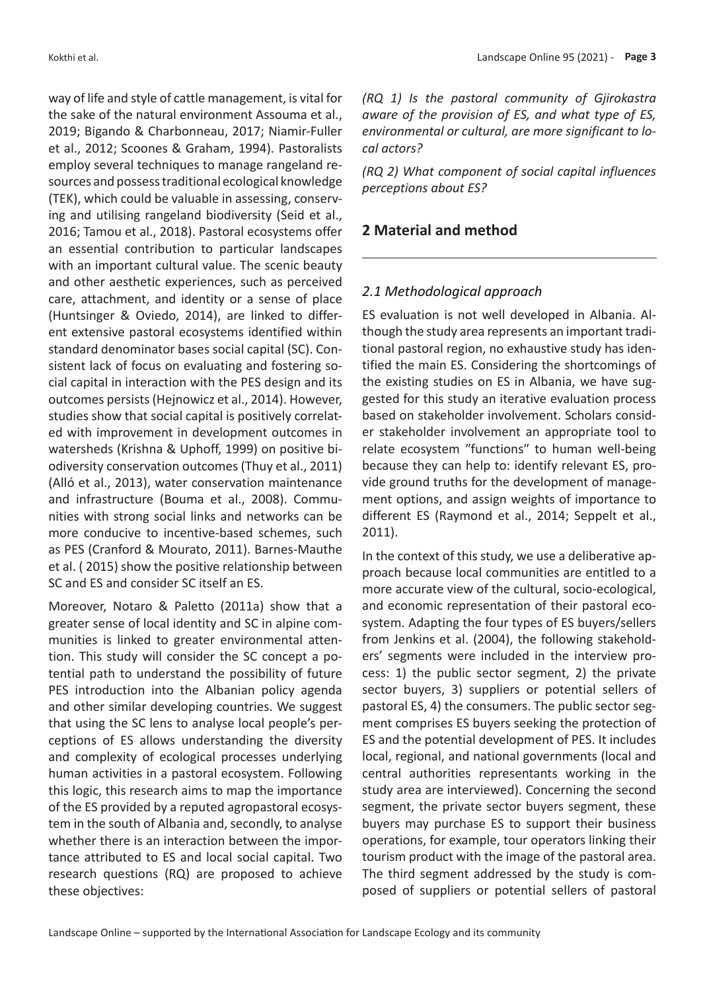way of life and style of cattle management, is vital for the sake of the natural environment Assouma et al., 2019; Bigando & Charbonneau, 2017; Niamir-Fuller et al., 2012; Scoones & Graham, 1994). Pastoralists employ several techniques to manage rangeland resources and possess traditional ecological knowledge (TEK), which could be valuable in assessing, conserving and utilising rangeland biodiversity (Seid et al., 2016; Tamou et al., 2018). Pastoral ecosystems offer an essential contribution to particular landscapes with an important cultural value. The scenic beauty and other aesthetic experiences, such as perceived care, attachment, and identity or a sense of place (Huntsinger & Oviedo, 2014), are linked to different extensive pastoral ecosystems identified within standard denominator bases social capital (SC). Consistent lack of focus on evaluating and fostering social capital in interaction with the PES design and its outcomes persists (Hejnowicz et al., 2014). However, studies show that social capital is positively correlated with improvement in development outcomes in watersheds (Krishna & Uphoff, 1999) on positive biodiversity conservation outcomes (Thuy et al., 2011) (Alló et al., 2013), water conservation maintenance and infrastructure (Bouma et al., 2008). Communities with strong social links and networks can be more conducive to incentive-based schemes, such as PES (Cranford & Mourato, 2011). Barnes-Mauthe et al. ( 2015) show the positive relationship between SC and ES and consider SC itself an ES.

Moreover, Notaro & Paletto (2011a) show that a greater sense of local identity and SC in alpine communities is linked to greater environmental attention. This study will consider the SC concept a potential path to understand the possibility of future PES introduction into the Albanian policy agenda and other similar developing countries. We suggest that using the SC lens to analyse local people's perceptions of ES allows understanding the diversity and complexity of ecological processes underlying human activities in a pastoral ecosystem. Following this logic, this research aims to map the importance of the ES provided by a reputed agropastoral ecosystem in the south of Albania and, secondly, to analyse whether there is an interaction between the importance attributed to ES and local social capital. Two research questions (RQ) are proposed to achieve these objectives:

*(RQ 1) Is the pastoral community of Gjirokastra aware of the provision of ES, and what type of ES, environmental or cultural, are more significant to local actors?*

*(RQ 2) What component of social capital influences perceptions about ES?*

# **2 Material and method**

# *2.1 Methodological approach*

ES evaluation is not well developed in Albania. Although the study area represents an important traditional pastoral region, no exhaustive study has identified the main ES. Considering the shortcomings of the existing studies on ES in Albania, we have suggested for this study an iterative evaluation process based on stakeholder involvement. Scholars consider stakeholder involvement an appropriate tool to relate ecosystem "functions" to human well-being because they can help to: identify relevant ES, provide ground truths for the development of management options, and assign weights of importance to different ES (Raymond et al., 2014; Seppelt et al., 2011).

In the context of this study, we use a deliberative approach because local communities are entitled to a more accurate view of the cultural, socio-ecological, and economic representation of their pastoral ecosystem. Adapting the four types of ES buyers/sellers from Jenkins et al. (2004), the following stakeholders' segments were included in the interview process: 1) the public sector segment, 2) the private sector buyers, 3) suppliers or potential sellers of pastoral ES, 4) the consumers. The public sector segment comprises ES buyers seeking the protection of ES and the potential development of PES. It includes local, regional, and national governments (local and central authorities representants working in the study area are interviewed). Concerning the second segment, the private sector buyers segment, these buyers may purchase ES to support their business operations, for example, tour operators linking their tourism product with the image of the pastoral area. The third segment addressed by the study is composed of suppliers or potential sellers of pastoral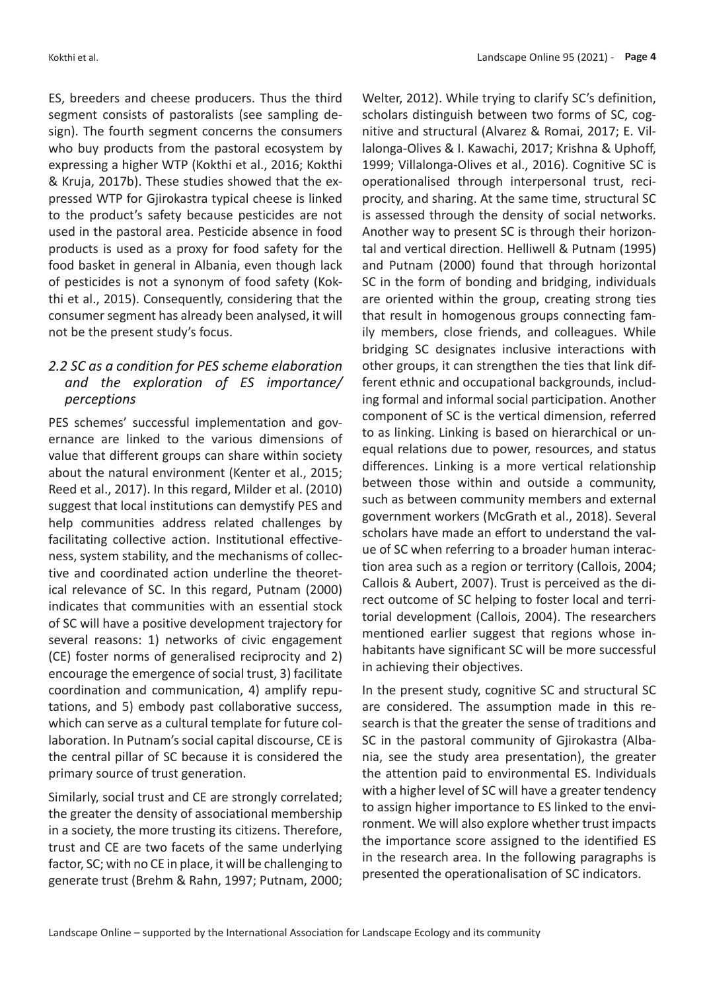Kokthi et al. Landscape Online 95 (2021) - **Page 4**

ES, breeders and cheese producers. Thus the third segment consists of pastoralists (see sampling design). The fourth segment concerns the consumers who buy products from the pastoral ecosystem by expressing a higher WTP (Kokthi et al., 2016; Kokthi & Kruja, 2017b). These studies showed that the expressed WTP for Gjirokastra typical cheese is linked to the product's safety because pesticides are not used in the pastoral area. Pesticide absence in food products is used as a proxy for food safety for the food basket in general in Albania, even though lack of pesticides is not a synonym of food safety (Kokthi et al., 2015). Consequently, considering that the consumer segment has already been analysed, it will not be the present study's focus.

# *2.2 SC as a condition for PES scheme elaboration and the exploration of ES importance/ perceptions*

PES schemes' successful implementation and governance are linked to the various dimensions of value that different groups can share within society about the natural environment (Kenter et al., 2015; Reed et al., 2017). In this regard, Milder et al. (2010) suggest that local institutions can demystify PES and help communities address related challenges by facilitating collective action. Institutional effectiveness, system stability, and the mechanisms of collective and coordinated action underline the theoretical relevance of SC. In this regard, Putnam (2000) indicates that communities with an essential stock of SC will have a positive development trajectory for several reasons: 1) networks of civic engagement (CE) foster norms of generalised reciprocity and 2) encourage the emergence of social trust, 3) facilitate coordination and communication, 4) amplify reputations, and 5) embody past collaborative success, which can serve as a cultural template for future collaboration. In Putnam's social capital discourse, CE is the central pillar of SC because it is considered the primary source of trust generation.

Similarly, social trust and CE are strongly correlated; the greater the density of associational membership in a society, the more trusting its citizens. Therefore, trust and CE are two facets of the same underlying factor, SC; with no CE in place, it will be challenging to generate trust (Brehm & Rahn, 1997; Putnam, 2000;

Welter, 2012). While trying to clarify SC's definition, scholars distinguish between two forms of SC, cognitive and structural (Alvarez & Romai, 2017; E. Villalonga-Olives & I. Kawachi, 2017; Krishna & Uphoff, 1999; Villalonga-Olives et al., 2016). Cognitive SC is operationalised through interpersonal trust, reciprocity, and sharing. At the same time, structural SC is assessed through the density of social networks. Another way to present SC is through their horizontal and vertical direction. Helliwell & Putnam (1995) and Putnam (2000) found that through horizontal SC in the form of bonding and bridging, individuals are oriented within the group, creating strong ties that result in homogenous groups connecting family members, close friends, and colleagues. While bridging SC designates inclusive interactions with other groups, it can strengthen the ties that link different ethnic and occupational backgrounds, including formal and informal social participation. Another component of SC is the vertical dimension, referred to as linking. Linking is based on hierarchical or unequal relations due to power, resources, and status differences. Linking is a more vertical relationship between those within and outside a community, such as between community members and external government workers (McGrath et al., 2018). Several scholars have made an effort to understand the value of SC when referring to a broader human interaction area such as a region or territory (Callois, 2004; Callois & Aubert, 2007). Trust is perceived as the direct outcome of SC helping to foster local and territorial development (Callois, 2004). The researchers mentioned earlier suggest that regions whose inhabitants have significant SC will be more successful in achieving their objectives.

In the present study, cognitive SC and structural SC are considered. The assumption made in this research is that the greater the sense of traditions and SC in the pastoral community of Gjirokastra (Albania, see the study area presentation), the greater the attention paid to environmental ES. Individuals with a higher level of SC will have a greater tendency to assign higher importance to ES linked to the environment. We will also explore whether trust impacts the importance score assigned to the identified ES in the research area. In the following paragraphs is presented the operationalisation of SC indicators.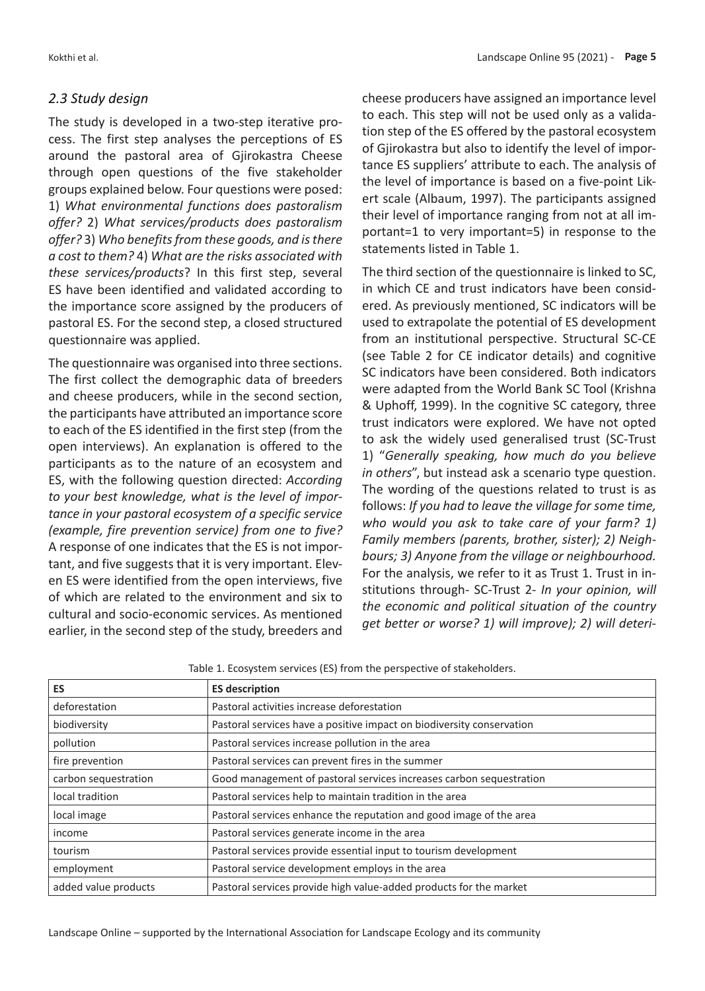#### *2.3 Study design*

The study is developed in a two-step iterative process. The first step analyses the perceptions of ES around the pastoral area of Gjirokastra Cheese through open questions of the five stakeholder groups explained below. Four questions were posed: 1) *What environmental functions does pastoralism offer?* 2) *What services/products does pastoralism offer?* 3) *Who benefits from these goods, and is there a cost to them?* 4) *What are the risks associated with these services/products*? In this first step, several ES have been identified and validated according to the importance score assigned by the producers of pastoral ES. For the second step, a closed structured questionnaire was applied.

The questionnaire was organised into three sections. The first collect the demographic data of breeders and cheese producers, while in the second section, the participants have attributed an importance score to each of the ES identified in the first step (from the open interviews). An explanation is offered to the participants as to the nature of an ecosystem and ES, with the following question directed: *According to your best knowledge, what is the level of importance in your pastoral ecosystem of a specific service (example, fire prevention service) from one to five?* A response of one indicates that the ES is not important, and five suggests that it is very important. Eleven ES were identified from the open interviews, five of which are related to the environment and six to cultural and socio-economic services. As mentioned earlier, in the second step of the study, breeders and

cheese producers have assigned an importance level to each. This step will not be used only as a validation step of the ES offered by the pastoral ecosystem of Gjirokastra but also to identify the level of importance ES suppliers' attribute to each. The analysis of the level of importance is based on a five-point Likert scale (Albaum, 1997). The participants assigned their level of importance ranging from not at all important=1 to very important=5) in response to the statements listed in Table 1.

The third section of the questionnaire is linked to SC, in which CE and trust indicators have been considered. As previously mentioned, SC indicators will be used to extrapolate the potential of ES development from an institutional perspective. Structural SC-CE (see Table 2 for CE indicator details) and cognitive SC indicators have been considered. Both indicators were adapted from the World Bank SC Tool (Krishna & Uphoff, 1999). In the cognitive SC category, three trust indicators were explored. We have not opted to ask the widely used generalised trust (SC-Trust 1) "*Generally speaking, how much do you believe in others*", but instead ask a scenario type question. The wording of the questions related to trust is as follows: *If you had to leave the village for some time, who would you ask to take care of your farm? 1) Family members (parents, brother, sister); 2) Neighbours; 3) Anyone from the village or neighbourhood.* For the analysis, we refer to it as Trust 1. Trust in institutions through- SC-Trust 2- *In your opinion, will the economic and political situation of the country get better or worse? 1) will improve); 2) will deteri-*

| ES                   | <b>ES description</b>                                                 |  |  |  |
|----------------------|-----------------------------------------------------------------------|--|--|--|
| deforestation        | Pastoral activities increase deforestation                            |  |  |  |
| biodiversity         | Pastoral services have a positive impact on biodiversity conservation |  |  |  |
| pollution            | Pastoral services increase pollution in the area                      |  |  |  |
| fire prevention      | Pastoral services can prevent fires in the summer                     |  |  |  |
| carbon sequestration | Good management of pastoral services increases carbon sequestration   |  |  |  |
| local tradition      | Pastoral services help to maintain tradition in the area              |  |  |  |
| local image          | Pastoral services enhance the reputation and good image of the area   |  |  |  |
| income               | Pastoral services generate income in the area                         |  |  |  |
| tourism              | Pastoral services provide essential input to tourism development      |  |  |  |
| employment           | Pastoral service development employs in the area                      |  |  |  |
| added value products | Pastoral services provide high value-added products for the market    |  |  |  |

Table 1. Ecosystem services (ES) from the perspective of stakeholders.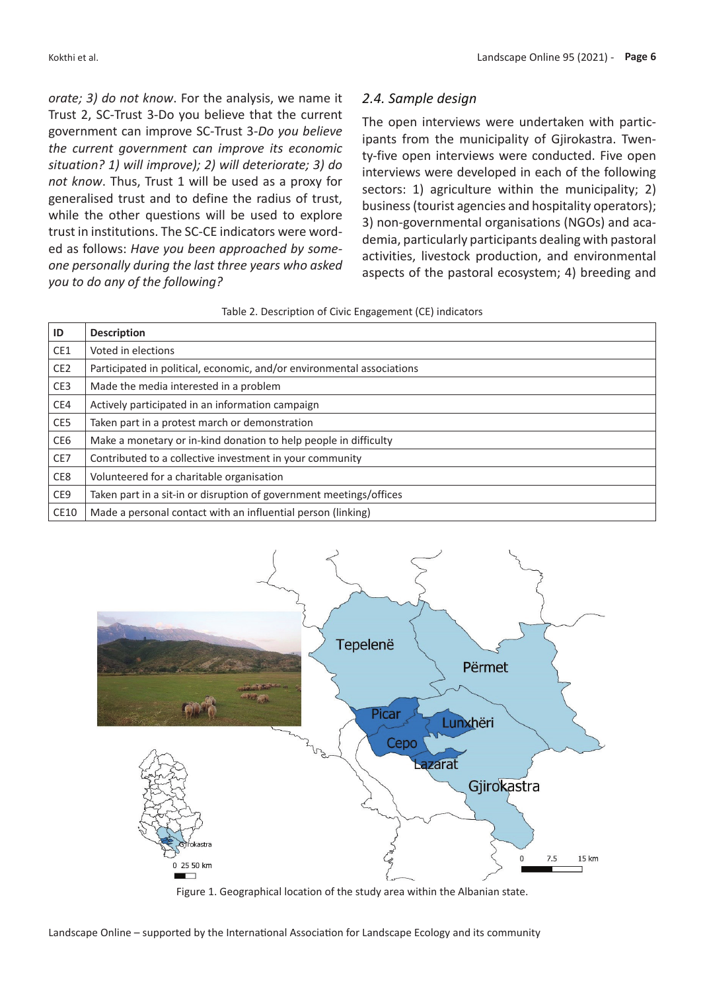*orate; 3) do not know*. For the analysis, we name it Trust 2, SC-Trust 3-Do you believe that the current government can improve SC-Trust 3-*Do you believe the current government can improve its economic situation? 1) will improve); 2) will deteriorate; 3) do not know*. Thus, Trust 1 will be used as a proxy for generalised trust and to define the radius of trust, while the other questions will be used to explore trust in institutions. The SC-CE indicators were worded as follows: *Have you been approached by someone personally during the last three years who asked you to do any of the following?*

#### *2.4. Sample design*

The open interviews were undertaken with participants from the municipality of Gjirokastra. Twenty-five open interviews were conducted. Five open interviews were developed in each of the following sectors: 1) agriculture within the municipality; 2) business (tourist agencies and hospitality operators); 3) non-governmental organisations (NGOs) and academia, particularly participants dealing with pastoral activities, livestock production, and environmental aspects of the pastoral ecosystem; 4) breeding and

| ID              | <b>Description</b>                                                     |
|-----------------|------------------------------------------------------------------------|
| CE1             | Voted in elections                                                     |
| CE <sub>2</sub> | Participated in political, economic, and/or environmental associations |
| CE <sub>3</sub> | Made the media interested in a problem                                 |
| CE4             | Actively participated in an information campaign                       |
| CE5             | Taken part in a protest march or demonstration                         |
| CE <sub>6</sub> | Make a monetary or in-kind donation to help people in difficulty       |
| CE7             | Contributed to a collective investment in your community               |
| CE8             | Volunteered for a charitable organisation                              |
| CE <sub>9</sub> | Taken part in a sit-in or disruption of government meetings/offices    |
| CE10            | Made a personal contact with an influential person (linking)           |



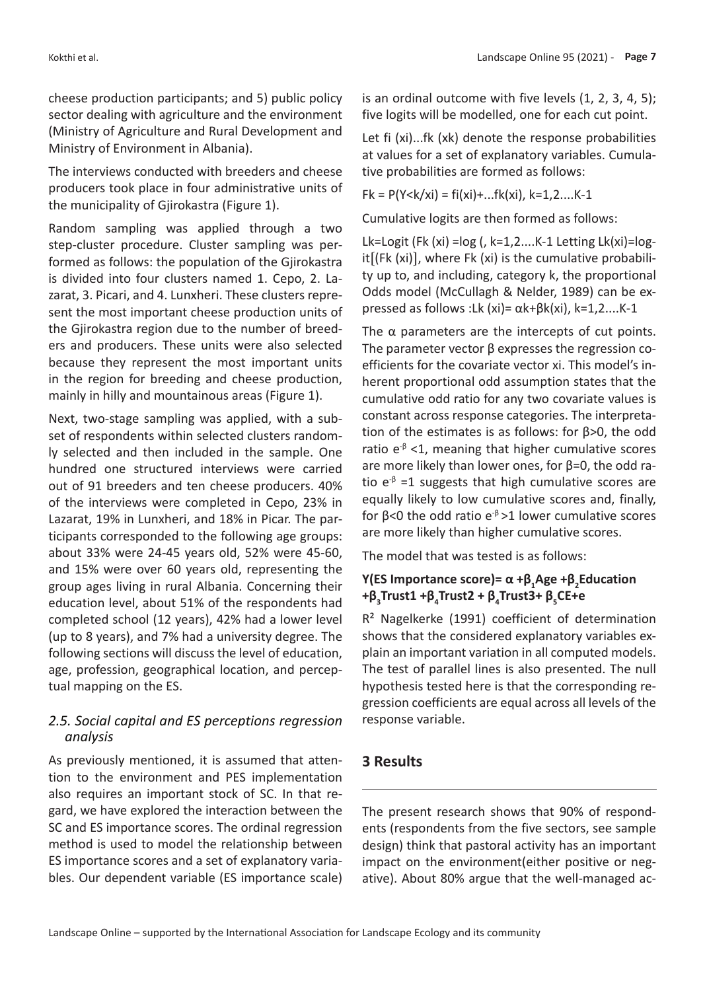cheese production participants; and 5) public policy sector dealing with agriculture and the environment (Ministry of Agriculture and Rural Development and Ministry of Environment in Albania).

The interviews conducted with breeders and cheese producers took place in four administrative units of the municipality of Gjirokastra (Figure 1).

Random sampling was applied through a two step-cluster procedure. Cluster sampling was performed as follows: the population of the Gjirokastra is divided into four clusters named 1. Cepo, 2. Lazarat, 3. Picari, and 4. Lunxheri. These clusters represent the most important cheese production units of the Gjirokastra region due to the number of breeders and producers. These units were also selected because they represent the most important units in the region for breeding and cheese production, mainly in hilly and mountainous areas (Figure 1).

Next, two-stage sampling was applied, with a subset of respondents within selected clusters randomly selected and then included in the sample. One hundred one structured interviews were carried out of 91 breeders and ten cheese producers. 40% of the interviews were completed in Cepo, 23% in Lazarat, 19% in Lunxheri, and 18% in Picar. The participants corresponded to the following age groups: about 33% were 24-45 years old, 52% were 45-60, and 15% were over 60 years old, representing the group ages living in rural Albania. Concerning their education level, about 51% of the respondents had completed school (12 years), 42% had a lower level (up to 8 years), and 7% had a university degree. The following sections will discuss the level of education, age, profession, geographical location, and perceptual mapping on the ES.

### *2.5. Social capital and ES perceptions regression analysis*

As previously mentioned, it is assumed that attention to the environment and PES implementation also requires an important stock of SC. In that regard, we have explored the interaction between the SC and ES importance scores. The ordinal regression method is used to model the relationship between ES importance scores and a set of explanatory variables. Our dependent variable (ES importance scale)

is an ordinal outcome with five levels (1, 2, 3, 4, 5); five logits will be modelled, one for each cut point.

Let fi (xi)...fk (xk) denote the response probabilities at values for a set of explanatory variables. Cumulative probabilities are formed as follows:

 $Fk = P(Y < k / xi) = fi(xi) + ...fk(xi), k = 1, 2, ..., K-1$ 

Cumulative logits are then formed as follows:

Lk=Logit (Fk (xi) = $log($ , k=1,2....K-1 Letting Lk(xi)= $log$ it〔(Fk (xi)〕, where Fk (xi) is the cumulative probability up to, and including, category k, the proportional Odds model (McCullagh & Nelder, 1989) can be expressed as follows :Lk (xi)= αk+βk(xi), k=1,2....K-1

The  $\alpha$  parameters are the intercepts of cut points. The parameter vector β expresses the regression coefficients for the covariate vector xi. This model's inherent proportional odd assumption states that the cumulative odd ratio for any two covariate values is constant across response categories. The interpretation of the estimates is as follows: for β>0, the odd ratio  $e^{-\beta}$  <1, meaning that higher cumulative scores are more likely than lower ones, for β=0, the odd ratio e<sup>-β</sup> =1 suggests that high cumulative scores are equally likely to low cumulative scores and, finally, for β<0 the odd ratio  $e^{-\beta}$  >1 lower cumulative scores are more likely than higher cumulative scores.

The model that was tested is as follows:

# **Y(ES Importance score)= α +β<sup>1</sup> Age +β<sup>2</sup> Education +β<sup>3</sup> Trust1 +β<sup>4</sup> Trust2 + β<sup>4</sup> Trust3+ β<sup>5</sup> CE+e**

R² Nagelkerke (1991) coefficient of determination shows that the considered explanatory variables explain an important variation in all computed models. The test of parallel lines is also presented. The null hypothesis tested here is that the corresponding regression coefficients are equal across all levels of the response variable.

# **3 Results**

The present research shows that 90% of respondents (respondents from the five sectors, see sample design) think that pastoral activity has an important impact on the environment(either positive or negative). About 80% argue that the well-managed ac-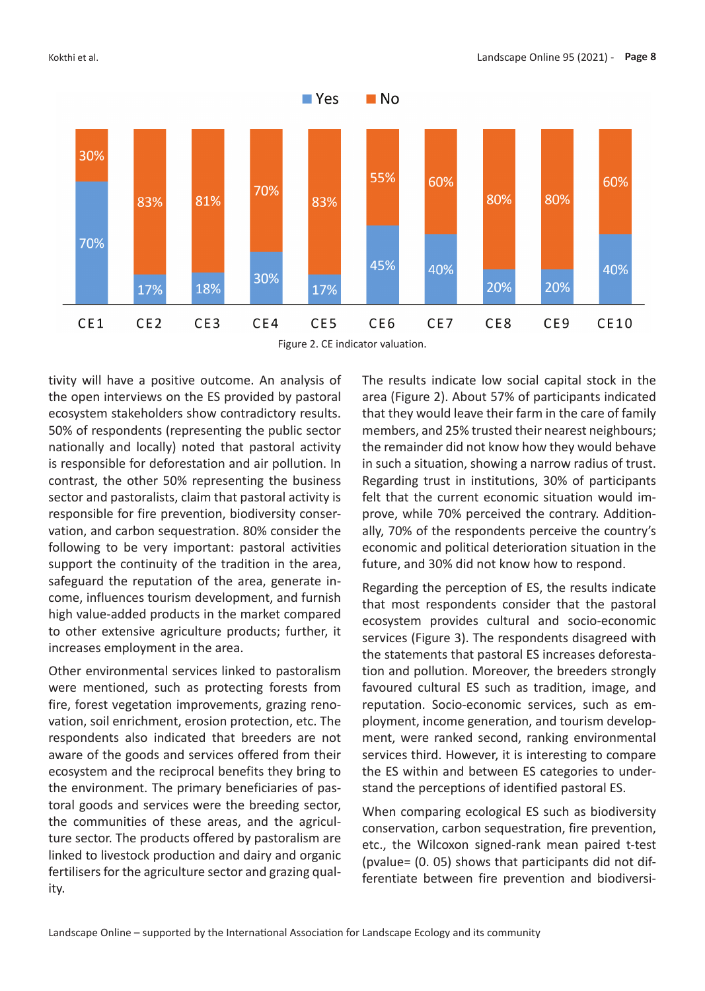



tivity will have a positive outcome. An analysis of the open interviews on the ES provided by pastoral ecosystem stakeholders show contradictory results. 50% of respondents (representing the public sector nationally and locally) noted that pastoral activity is responsible for deforestation and air pollution. In contrast, the other 50% representing the business sector and pastoralists, claim that pastoral activity is responsible for fire prevention, biodiversity conservation, and carbon sequestration. 80% consider the following to be very important: pastoral activities support the continuity of the tradition in the area, safeguard the reputation of the area, generate income, influences tourism development, and furnish high value-added products in the market compared to other extensive agriculture products; further, it increases employment in the area.

Other environmental services linked to pastoralism were mentioned, such as protecting forests from fire, forest vegetation improvements, grazing renovation, soil enrichment, erosion protection, etc. The respondents also indicated that breeders are not aware of the goods and services offered from their ecosystem and the reciprocal benefits they bring to the environment. The primary beneficiaries of pastoral goods and services were the breeding sector, the communities of these areas, and the agriculture sector. The products offered by pastoralism are linked to livestock production and dairy and organic fertilisers for the agriculture sector and grazing quality.

The results indicate low social capital stock in the area (Figure 2). About 57% of participants indicated that they would leave their farm in the care of family members, and 25% trusted their nearest neighbours; the remainder did not know how they would behave in such a situation, showing a narrow radius of trust. Regarding trust in institutions, 30% of participants felt that the current economic situation would improve, while 70% perceived the contrary. Additionally, 70% of the respondents perceive the country's economic and political deterioration situation in the future, and 30% did not know how to respond.

Regarding the perception of ES, the results indicate that most respondents consider that the pastoral ecosystem provides cultural and socio-economic services (Figure 3). The respondents disagreed with the statements that pastoral ES increases deforestation and pollution. Moreover, the breeders strongly favoured cultural ES such as tradition, image, and reputation. Socio-economic services, such as employment, income generation, and tourism development, were ranked second, ranking environmental services third. However, it is interesting to compare the ES within and between ES categories to understand the perceptions of identified pastoral ES.

When comparing ecological ES such as biodiversity conservation, carbon sequestration, fire prevention, etc., the Wilcoxon signed-rank mean paired t-test (pvalue= (0. 05) shows that participants did not differentiate between fire prevention and biodiversi-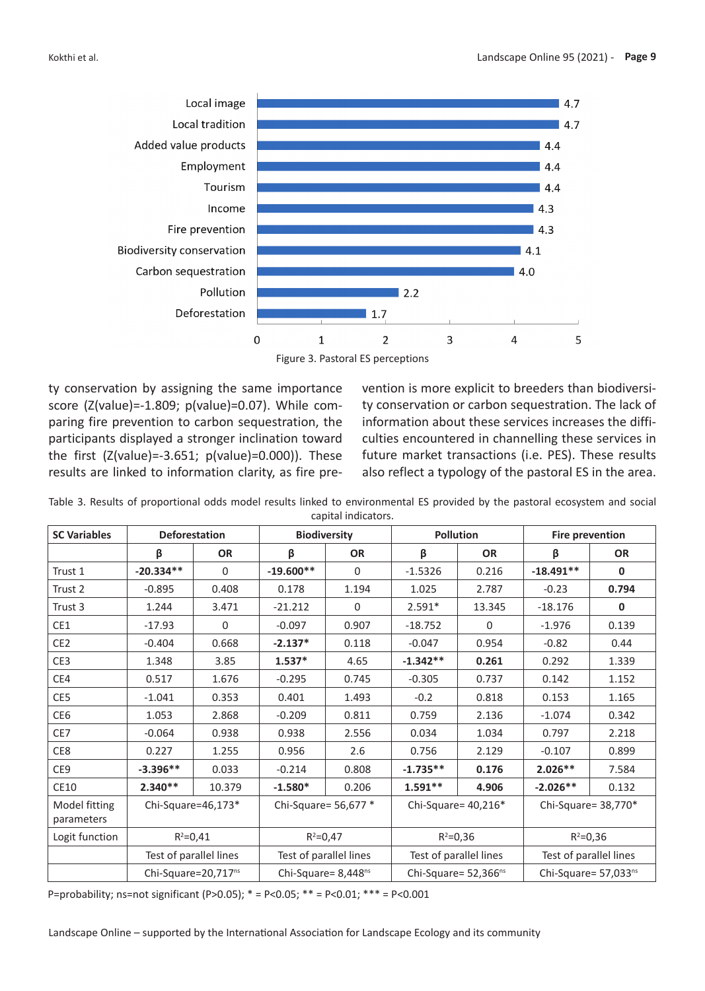

Figure 3. Pastoral ES perceptions

ty conservation by assigning the same importance score (Z(value)=-1.809; p(value)=0.07). While comparing fire prevention to carbon sequestration, the participants displayed a stronger inclination toward the first (Z(value)=-3.651; p(value)=0.000)). These results are linked to information clarity, as fire prevention is more explicit to breeders than biodiversity conservation or carbon sequestration. The lack of information about these services increases the difficulties encountered in channelling these services in future market transactions (i.e. PES). These results also reflect a typology of the pastoral ES in the area.

| <b>SC Variables</b>         | <b>Deforestation</b>            |             | <b>Biodiversity</b>    |             | <b>Pollution</b>                 |              | <b>Fire prevention</b> |             |
|-----------------------------|---------------------------------|-------------|------------------------|-------------|----------------------------------|--------------|------------------------|-------------|
|                             | β                               | <b>OR</b>   | β                      | <b>OR</b>   | β                                | <b>OR</b>    | β                      | <b>OR</b>   |
| Trust 1                     | $-20.334**$                     | $\mathbf 0$ | $-19.600**$            | $\mathbf 0$ | $-1.5326$                        | 0.216        | $-18.491**$            | $\mathbf 0$ |
| Trust 2                     | $-0.895$                        | 0.408       | 0.178                  | 1.194       | 1.025                            | 2.787        | $-0.23$                | 0.794       |
| Trust 3                     | 1.244                           | 3.471       | $-21.212$              | 0           | $2.591*$                         | 13.345       | $-18.176$              | $\mathbf 0$ |
| CE1                         | $-17.93$                        | $\Omega$    | $-0.097$               | 0.907       | $-18.752$                        | $\mathbf{0}$ | $-1.976$               | 0.139       |
| CE <sub>2</sub>             | $-0.404$                        | 0.668       | $-2.137*$              | 0.118       | $-0.047$                         | 0.954        | $-0.82$                | 0.44        |
| CE3                         | 1.348                           | 3.85        | $1.537*$               | 4.65        | $-1.342**$                       | 0.261        | 0.292                  | 1.339       |
| CE4                         | 0.517                           | 1.676       | $-0.295$               | 0.745       | $-0.305$                         | 0.737        | 0.142                  | 1.152       |
| CE5                         | $-1.041$                        | 0.353       | 0.401                  | 1.493       | $-0.2$                           | 0.818        | 0.153                  | 1.165       |
| CE6                         | 1.053                           | 2.868       | $-0.209$               | 0.811       | 0.759                            | 2.136        | $-1.074$               | 0.342       |
| CE7                         | $-0.064$                        | 0.938       | 0.938                  | 2.556       | 0.034                            | 1.034        | 0.797                  | 2.218       |
| CE8                         | 0.227                           | 1.255       | 0.956                  | 2.6         | 0.756                            | 2.129        | $-0.107$               | 0.899       |
| CE9                         | $-3.396**$                      | 0.033       | $-0.214$               | 0.808       | $-1.735**$                       | 0.176        | $2.026**$              | 7.584       |
| CE10                        | $2.340**$                       | 10.379      | $-1.580*$              | 0.206       | $1.591**$                        | 4.906        | $-2.026**$             | 0.132       |
| Model fitting<br>parameters | Chi-Square=46,173*              |             | Chi-Square= 56,677 *   |             | Chi-Square= $40,216*$            |              | Chi-Square= 38,770*    |             |
| Logit function              | $R^2 = 0,41$                    |             | $R^2 = 0,47$           |             | $R^2 = 0,36$                     |              | $R^2 = 0,36$           |             |
|                             | Test of parallel lines          |             | Test of parallel lines |             | Test of parallel lines           |              | Test of parallel lines |             |
|                             | Chi-Square=20,717 <sup>ns</sup> |             | Chi-Square= 8,448ns    |             | Chi-Square= 52,366 <sup>ns</sup> |              | Chi-Square= 57,033ns   |             |

Table 3. Results of proportional odds model results linked to environmental ES provided by the pastoral ecosystem and social capital indicators.

P=probability; ns=not significant (P>0.05); \* = P<0.05; \*\* = P<0.01; \*\*\* = P<0.001

Landscape Online – supported by the International Association for Landscape Ecology and its community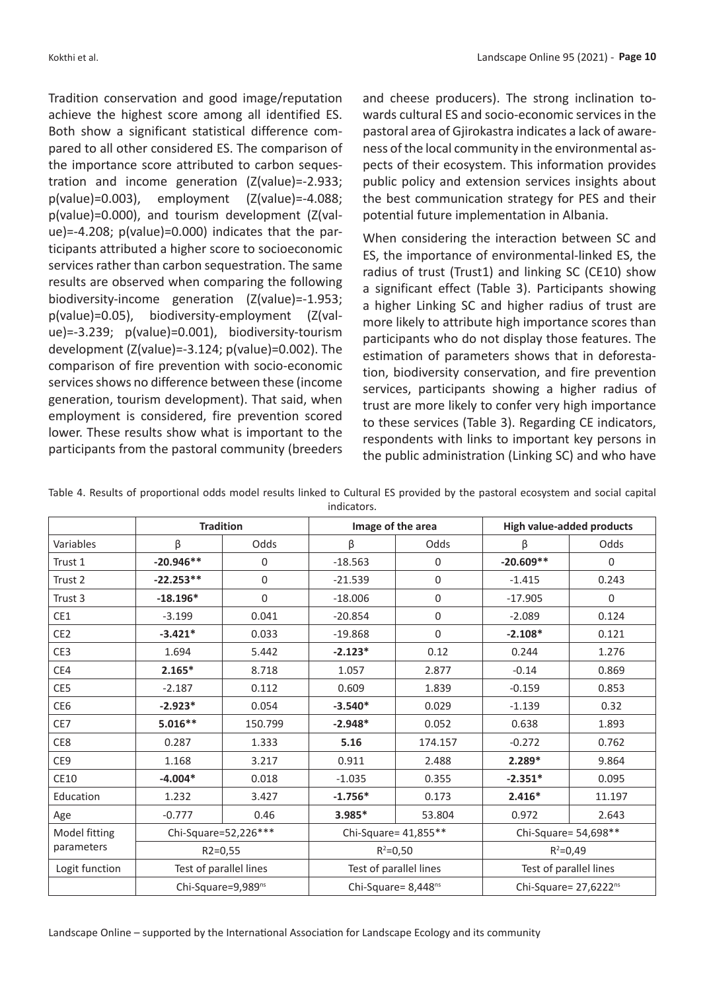Tradition conservation and good image/reputation achieve the highest score among all identified ES. Both show a significant statistical difference compared to all other considered ES. The comparison of the importance score attributed to carbon sequestration and income generation (Z(value)=-2.933; p(value)=0.003), employment (Z(value)=-4.088; p(value)=0.000), and tourism development (Z(value)=-4.208; p(value)=0.000) indicates that the participants attributed a higher score to socioeconomic services rather than carbon sequestration. The same results are observed when comparing the following biodiversity-income generation (Z(value)=-1.953; p(value)=0.05), biodiversity-employment (Z(value)=-3.239; p(value)=0.001), biodiversity-tourism development (Z(value)=-3.124; p(value)=0.002). The comparison of fire prevention with socio-economic services shows no difference between these (income generation, tourism development). That said, when employment is considered, fire prevention scored lower. These results show what is important to the participants from the pastoral community (breeders

and cheese producers). The strong inclination towards cultural ES and socio-economic services in the pastoral area of Gjirokastra indicates a lack of awareness of the local community in the environmental aspects of their ecosystem. This information provides public policy and extension services insights about the best communication strategy for PES and their potential future implementation in Albania.

When considering the interaction between SC and ES, the importance of environmental-linked ES, the radius of trust (Trust1) and linking SC (CE10) show a significant effect (Table 3). Participants showing a higher Linking SC and higher radius of trust are more likely to attribute high importance scores than participants who do not display those features. The estimation of parameters shows that in deforestation, biodiversity conservation, and fire prevention services, participants showing a higher radius of trust are more likely to confer very high importance to these services (Table 3). Regarding CE indicators, respondents with links to important key persons in the public administration (Linking SC) and who have

|                    | <b>Tradition</b>               |             | Image of the area                 |             | <b>High value-added products</b> |          |  |
|--------------------|--------------------------------|-------------|-----------------------------------|-------------|----------------------------------|----------|--|
| Variables          | β                              | Odds        | β                                 | Odds        | β                                | Odds     |  |
| Trust 1            | $-20.946**$                    | 0           | $-18.563$                         | 0           | $-20.609**$                      | $\Omega$ |  |
| Trust 2            | $-22.253**$                    | $\mathbf 0$ | $-21.539$                         | 0           | $-1.415$                         | 0.243    |  |
| Trust <sub>3</sub> | $-18.196*$                     | 0           | $-18.006$                         | $\mathbf 0$ | $-17.905$                        | 0        |  |
| CE1                | $-3.199$                       | 0.041       | $-20.854$                         | 0           | $-2.089$                         | 0.124    |  |
| CE <sub>2</sub>    | $-3.421*$                      | 0.033       | $-19.868$                         | 0           | $-2.108*$                        | 0.121    |  |
| CE <sub>3</sub>    | 1.694                          | 5.442       | $-2.123*$                         | 0.12        | 0.244                            | 1.276    |  |
| CE4                | $2.165*$                       | 8.718       | 1.057                             | 2.877       | $-0.14$                          | 0.869    |  |
| CE5                | $-2.187$                       | 0.112       | 0.609                             | 1.839       | $-0.159$                         | 0.853    |  |
| CE <sub>6</sub>    | $-2.923*$                      | 0.054       | $-3.540*$                         | 0.029       | $-1.139$                         | 0.32     |  |
| CE7                | $5.016**$                      | 150.799     | $-2.948*$                         | 0.052       | 0.638                            | 1.893    |  |
| CE8                | 0.287                          | 1.333       | 5.16                              | 174.157     | $-0.272$                         | 0.762    |  |
| CE9                | 1.168                          | 3.217       | 0.911                             | 2.488       | $2.289*$                         | 9.864    |  |
| <b>CE10</b>        | $-4.004*$                      | 0.018       | $-1.035$                          | 0.355       | $-2.351*$                        | 0.095    |  |
| Education          | 1.232                          | 3.427       | $-1.756*$                         | 0.173       | $2.416*$                         | 11.197   |  |
| Age                | $-0.777$                       | 0.46        | 3.985*                            | 53.804      | 0.972                            | 2.643    |  |
| Model fitting      | Chi-Square=52,226***           |             | Chi-Square= 41,855**              |             | Chi-Square= 54,698**             |          |  |
| parameters         | $R2 = 0,55$                    |             | $R^2 = 0,50$                      |             | $R^2 = 0,49$                     |          |  |
| Logit function     | Test of parallel lines         |             | Test of parallel lines            |             | Test of parallel lines           |          |  |
|                    | Chi-Square=9,989 <sup>ns</sup> |             | Chi-Square= $8,448$ <sup>ns</sup> |             | Chi-Square= 27,6222ns            |          |  |

Table 4. Results of proportional odds model results linked to Cultural ES provided by the pastoral ecosystem and social capital indicators.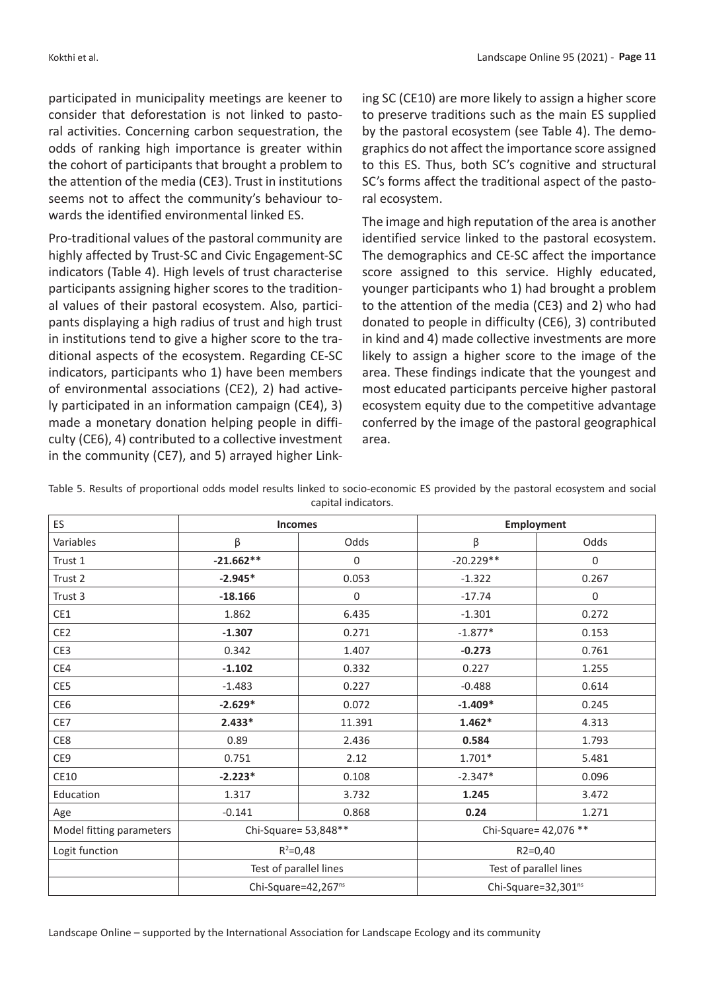participated in municipality meetings are keener to consider that deforestation is not linked to pastoral activities. Concerning carbon sequestration, the odds of ranking high importance is greater within the cohort of participants that brought a problem to the attention of the media (CE3). Trust in institutions seems not to affect the community's behaviour towards the identified environmental linked ES.

Pro-traditional values of the pastoral community are highly affected by Trust-SC and Civic Engagement-SC indicators (Table 4). High levels of trust characterise participants assigning higher scores to the traditional values of their pastoral ecosystem. Also, participants displaying a high radius of trust and high trust in institutions tend to give a higher score to the traditional aspects of the ecosystem. Regarding CE-SC indicators, participants who 1) have been members of environmental associations (CE2), 2) had actively participated in an information campaign (CE4), 3) made a monetary donation helping people in difficulty (CE6), 4) contributed to a collective investment in the community (CE7), and 5) arrayed higher Linking SC (CE10) are more likely to assign a higher score to preserve traditions such as the main ES supplied by the pastoral ecosystem (see Table 4). The demographics do not affect the importance score assigned to this ES. Thus, both SC's cognitive and structural SC's forms affect the traditional aspect of the pastoral ecosystem.

The image and high reputation of the area is another identified service linked to the pastoral ecosystem. The demographics and CE-SC affect the importance score assigned to this service. Highly educated, younger participants who 1) had brought a problem to the attention of the media (CE3) and 2) who had donated to people in difficulty (CE6), 3) contributed in kind and 4) made collective investments are more likely to assign a higher score to the image of the area. These findings indicate that the youngest and most educated participants perceive higher pastoral ecosystem equity due to the competitive advantage conferred by the image of the pastoral geographical area.

| ES                       | <b>Incomes</b>                  |             | <b>Employment</b>               |       |  |
|--------------------------|---------------------------------|-------------|---------------------------------|-------|--|
| Variables                | β                               | Odds        | β                               | Odds  |  |
| Trust 1                  | $-21.662**$                     | $\Omega$    | $-20.229**$                     | 0     |  |
| Trust 2                  | $-2.945*$                       | 0.053       | $-1.322$                        | 0.267 |  |
| Trust 3                  | $-18.166$                       | $\mathbf 0$ | $-17.74$                        | 0     |  |
| CE1                      | 1.862                           | 6.435       | $-1.301$                        | 0.272 |  |
| CE <sub>2</sub>          | $-1.307$                        | 0.271       | $-1.877*$                       | 0.153 |  |
| CE3                      | 0.342                           | 1.407       | $-0.273$                        | 0.761 |  |
| CE4                      | $-1.102$                        | 0.332       | 0.227                           | 1.255 |  |
| CE5                      | $-1.483$                        | 0.227       | $-0.488$                        | 0.614 |  |
| CE6                      | $-2.629*$                       | 0.072       | $-1.409*$                       | 0.245 |  |
| CE7                      | $2.433*$                        | 11.391      | $1.462*$                        | 4.313 |  |
| CE8                      | 0.89                            | 2.436       | 0.584                           | 1.793 |  |
| CE9                      | 0.751                           | 2.12        | $1.701*$                        | 5.481 |  |
| CE10                     | $-2.223*$                       | 0.108       | $-2.347*$                       | 0.096 |  |
| Education                | 1.317                           | 3.732       | 1.245                           | 3.472 |  |
| Age                      | $-0.141$                        | 0.868       | 0.24                            | 1.271 |  |
| Model fitting parameters | Chi-Square= 53,848**            |             | Chi-Square= 42,076 **           |       |  |
| Logit function           | $R^2 = 0,48$                    |             | $R2 = 0,40$                     |       |  |
|                          | Test of parallel lines          |             | Test of parallel lines          |       |  |
|                          | Chi-Square=42,267 <sup>ns</sup> |             | Chi-Square=32,301 <sup>ns</sup> |       |  |

Table 5. Results of proportional odds model results linked to socio-economic ES provided by the pastoral ecosystem and social capital indicators.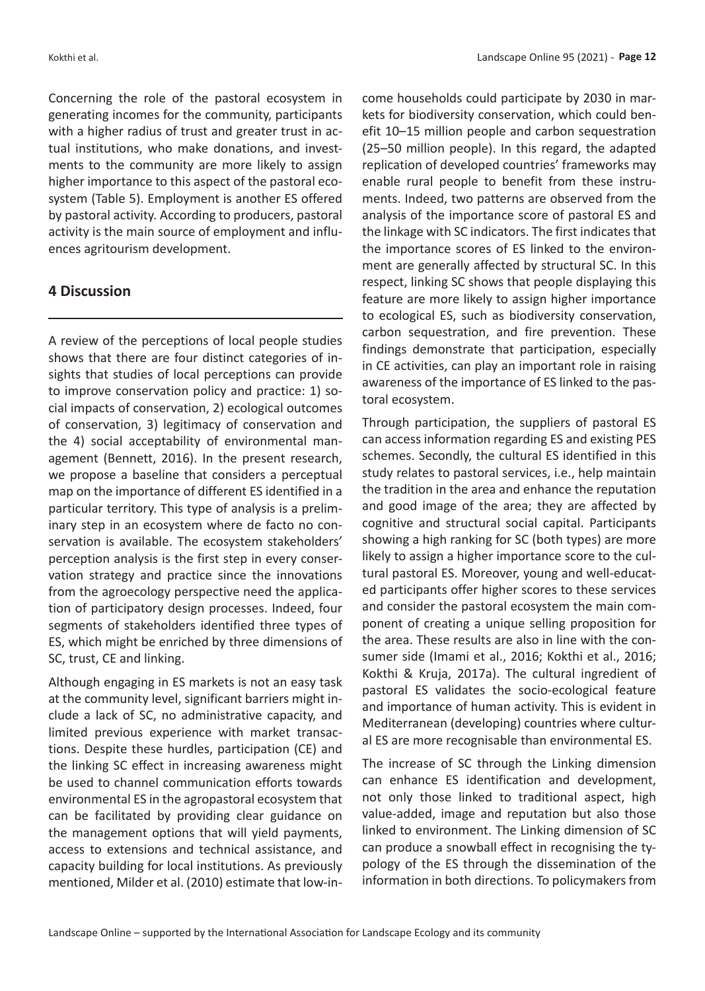Concerning the role of the pastoral ecosystem in generating incomes for the community, participants with a higher radius of trust and greater trust in actual institutions, who make donations, and investments to the community are more likely to assign higher importance to this aspect of the pastoral ecosystem (Table 5). Employment is another ES offered by pastoral activity. According to producers, pastoral activity is the main source of employment and influences agritourism development.

### **4 Discussion**

A review of the perceptions of local people studies shows that there are four distinct categories of insights that studies of local perceptions can provide to improve conservation policy and practice: 1) social impacts of conservation, 2) ecological outcomes of conservation, 3) legitimacy of conservation and the 4) social acceptability of environmental management (Bennett, 2016). In the present research, we propose a baseline that considers a perceptual map on the importance of different ES identified in a particular territory. This type of analysis is a preliminary step in an ecosystem where de facto no conservation is available. The ecosystem stakeholders' perception analysis is the first step in every conservation strategy and practice since the innovations from the agroecology perspective need the application of participatory design processes. Indeed, four segments of stakeholders identified three types of ES, which might be enriched by three dimensions of SC, trust, CE and linking.

Although engaging in ES markets is not an easy task at the community level, significant barriers might include a lack of SC, no administrative capacity, and limited previous experience with market transactions. Despite these hurdles, participation (CE) and the linking SC effect in increasing awareness might be used to channel communication efforts towards environmental ES in the agropastoral ecosystem that can be facilitated by providing clear guidance on the management options that will yield payments, access to extensions and technical assistance, and capacity building for local institutions. As previously mentioned, Milder et al. (2010) estimate that low-income households could participate by 2030 in markets for biodiversity conservation, which could benefit 10–15 million people and carbon sequestration (25–50 million people). In this regard, the adapted replication of developed countries' frameworks may enable rural people to benefit from these instruments. Indeed, two patterns are observed from the analysis of the importance score of pastoral ES and the linkage with SC indicators. The first indicates that the importance scores of ES linked to the environment are generally affected by structural SC. In this respect, linking SC shows that people displaying this feature are more likely to assign higher importance to ecological ES, such as biodiversity conservation, carbon sequestration, and fire prevention. These findings demonstrate that participation, especially in CE activities, can play an important role in raising awareness of the importance of ES linked to the pastoral ecosystem.

Through participation, the suppliers of pastoral ES can access information regarding ES and existing PES schemes. Secondly, the cultural ES identified in this study relates to pastoral services, i.e., help maintain the tradition in the area and enhance the reputation and good image of the area; they are affected by cognitive and structural social capital. Participants showing a high ranking for SC (both types) are more likely to assign a higher importance score to the cultural pastoral ES. Moreover, young and well-educated participants offer higher scores to these services and consider the pastoral ecosystem the main component of creating a unique selling proposition for the area. These results are also in line with the consumer side (Imami et al., 2016; Kokthi et al., 2016; Kokthi & Kruja, 2017a). The cultural ingredient of pastoral ES validates the socio-ecological feature and importance of human activity. This is evident in Mediterranean (developing) countries where cultural ES are more recognisable than environmental ES.

The increase of SC through the Linking dimension can enhance ES identification and development, not only those linked to traditional aspect, high value-added, image and reputation but also those linked to environment. The Linking dimension of SC can produce a snowball effect in recognising the typology of the ES through the dissemination of the information in both directions. To policymakers from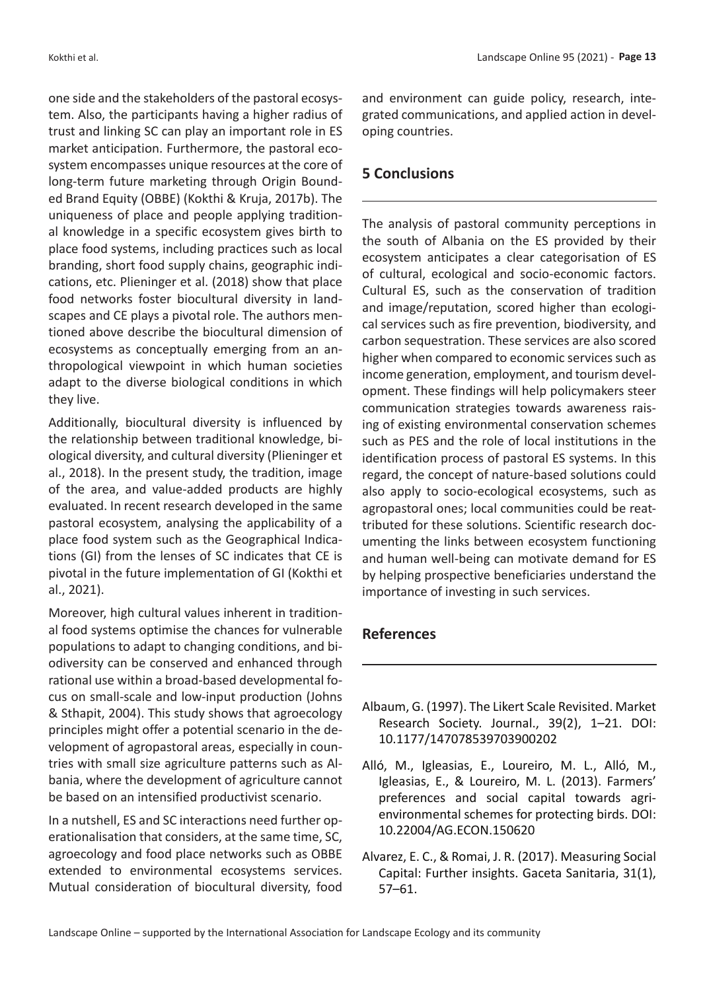one side and the stakeholders of the pastoral ecosystem. Also, the participants having a higher radius of trust and linking SC can play an important role in ES market anticipation. Furthermore, the pastoral ecosystem encompasses unique resources at the core of long-term future marketing through Origin Bounded Brand Equity (OBBE) (Kokthi & Kruja, 2017b). The uniqueness of place and people applying traditional knowledge in a specific ecosystem gives birth to place food systems, including practices such as local branding, short food supply chains, geographic indications, etc. Plieninger et al. (2018) show that place food networks foster biocultural diversity in landscapes and CE plays a pivotal role. The authors mentioned above describe the biocultural dimension of ecosystems as conceptually emerging from an anthropological viewpoint in which human societies adapt to the diverse biological conditions in which they live.

Additionally, biocultural diversity is influenced by the relationship between traditional knowledge, biological diversity, and cultural diversity (Plieninger et al., 2018). In the present study, the tradition, image of the area, and value-added products are highly evaluated. In recent research developed in the same pastoral ecosystem, analysing the applicability of a place food system such as the Geographical Indications (GI) from the lenses of SC indicates that CE is pivotal in the future implementation of GI (Kokthi et al., 2021).

Moreover, high cultural values inherent in traditional food systems optimise the chances for vulnerable populations to adapt to changing conditions, and biodiversity can be conserved and enhanced through rational use within a broad-based developmental focus on small-scale and low-input production (Johns & Sthapit, 2004). This study shows that agroecology principles might offer a potential scenario in the development of agropastoral areas, especially in countries with small size agriculture patterns such as Albania, where the development of agriculture cannot be based on an intensified productivist scenario.

In a nutshell, ES and SC interactions need further operationalisation that considers, at the same time, SC, agroecology and food place networks such as OBBE extended to environmental ecosystems services. Mutual consideration of biocultural diversity, food and environment can guide policy, research, integrated communications, and applied action in developing countries.

# **5 Conclusions**

The analysis of pastoral community perceptions in the south of Albania on the ES provided by their ecosystem anticipates a clear categorisation of ES of cultural, ecological and socio-economic factors. Cultural ES, such as the conservation of tradition and image/reputation, scored higher than ecological services such as fire prevention, biodiversity, and carbon sequestration. These services are also scored higher when compared to economic services such as income generation, employment, and tourism development. These findings will help policymakers steer communication strategies towards awareness raising of existing environmental conservation schemes such as PES and the role of local institutions in the identification process of pastoral ES systems. In this regard, the concept of nature-based solutions could also apply to socio-ecological ecosystems, such as agropastoral ones; local communities could be reattributed for these solutions. Scientific research documenting the links between ecosystem functioning and human well-being can motivate demand for ES by helping prospective beneficiaries understand the importance of investing in such services.

# **References**

- Albaum, G. (1997). The Likert Scale Revisited. Market Research Society. Journal., 39(2), 1–21. DOI: 10.1177/147078539703900202
- Alló, M., Igleasias, E., Loureiro, M. L., Alló, M., Igleasias, E., & Loureiro, M. L. (2013). Farmers' preferences and social capital towards agrienvironmental schemes for protecting birds. DOI: 10.22004/AG.ECON.150620
- Alvarez, E. C., & Romai, J. R. (2017). Measuring Social Capital: Further insights. Gaceta Sanitaria, 31(1), 57–61.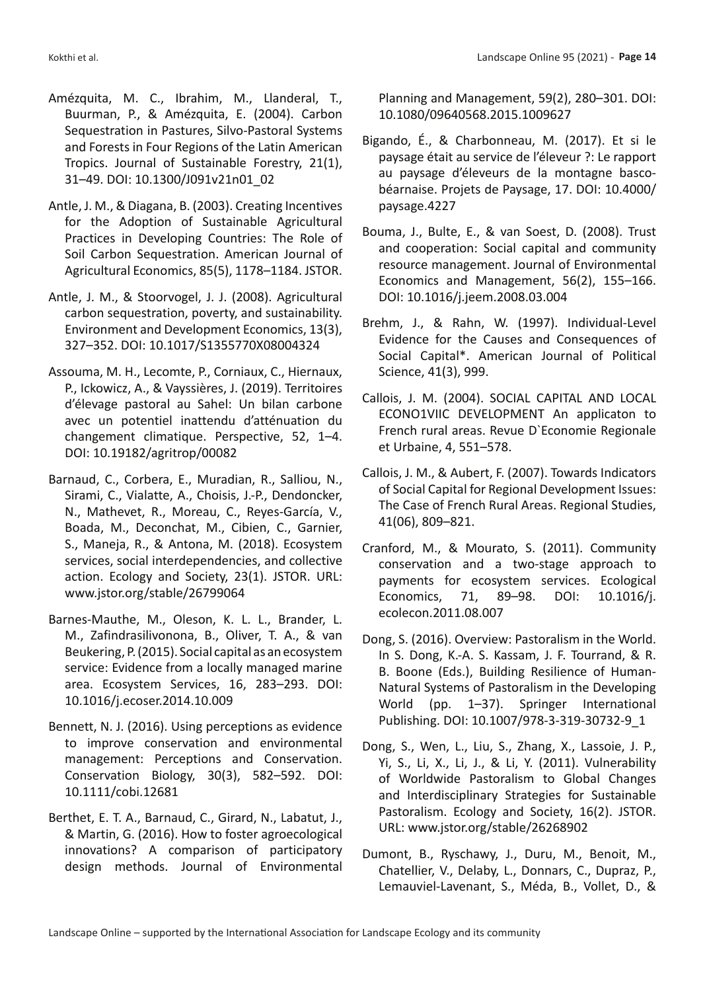- Amézquita, M. C., Ibrahim, M., Llanderal, T., Buurman, P., & Amézquita, E. (2004). Carbon Sequestration in Pastures, Silvo-Pastoral Systems and Forests in Four Regions of the Latin American Tropics. Journal of Sustainable Forestry, 21(1), 31–49. DOI: 10.1300/J091v21n01\_02
- Antle, J. M., & Diagana, B. (2003). Creating Incentives for the Adoption of Sustainable Agricultural Practices in Developing Countries: The Role of Soil Carbon Sequestration. American Journal of Agricultural Economics, 85(5), 1178–1184. JSTOR.
- Antle, J. M., & Stoorvogel, J. J. (2008). Agricultural carbon sequestration, poverty, and sustainability. Environment and Development Economics, 13(3), 327–352. DOI: 10.1017/S1355770X08004324
- Assouma, M. H., Lecomte, P., Corniaux, C., Hiernaux, P., Ickowicz, A., & Vayssières, J. (2019). Territoires d'élevage pastoral au Sahel: Un bilan carbone avec un potentiel inattendu d'atténuation du changement climatique. Perspective, 52, 1–4. DOI: 10.19182/agritrop/00082
- Barnaud, C., Corbera, E., Muradian, R., Salliou, N., Sirami, C., Vialatte, A., Choisis, J.-P., Dendoncker, N., Mathevet, R., Moreau, C., Reyes-García, V., Boada, M., Deconchat, M., Cibien, C., Garnier, S., Maneja, R., & Antona, M. (2018). Ecosystem services, social interdependencies, and collective action. Ecology and Society, 23(1). JSTOR. URL: www.jstor.org/stable/26799064
- Barnes-Mauthe, M., Oleson, K. L. L., Brander, L. M., Zafindrasilivonona, B., Oliver, T. A., & van Beukering, P. (2015). Social capital as an ecosystem service: Evidence from a locally managed marine area. Ecosystem Services, 16, 283–293. DOI: 10.1016/j.ecoser.2014.10.009
- Bennett, N. J. (2016). Using perceptions as evidence to improve conservation and environmental management: Perceptions and Conservation. Conservation Biology, 30(3), 582–592. DOI: 10.1111/cobi.12681
- Berthet, E. T. A., Barnaud, C., Girard, N., Labatut, J., & Martin, G. (2016). How to foster agroecological innovations? A comparison of participatory design methods. Journal of Environmental

Planning and Management, 59(2), 280–301. DOI: 10.1080/09640568.2015.1009627

- Bigando, É., & Charbonneau, M. (2017). Et si le paysage était au service de l'éleveur ?: Le rapport au paysage d'éleveurs de la montagne bascobéarnaise. Projets de Paysage, 17. DOI: 10.4000/ paysage.4227
- Bouma, J., Bulte, E., & van Soest, D. (2008). Trust and cooperation: Social capital and community resource management. Journal of Environmental Economics and Management, 56(2), 155–166. DOI: 10.1016/j.jeem.2008.03.004
- Brehm, J., & Rahn, W. (1997). Individual-Level Evidence for the Causes and Consequences of Social Capital\*. American Journal of Political Science, 41(3), 999.
- Callois, J. M. (2004). SOCIAL CAPITAL AND LOCAL ECONO1VIIC DEVELOPMENT An applicaton to French rural areas. Revue D`Economie Regionale et Urbaine, 4, 551–578.
- Callois, J. M., & Aubert, F. (2007). Towards Indicators of Social Capital for Regional Development Issues: The Case of French Rural Areas. Regional Studies, 41(06), 809–821.
- Cranford, M., & Mourato, S. (2011). Community conservation and a two-stage approach to payments for ecosystem services. Ecological Economics, 71, 89–98. DOI: 10.1016/j. ecolecon.2011.08.007
- Dong, S. (2016). Overview: Pastoralism in the World. In S. Dong, K.-A. S. Kassam, J. F. Tourrand, & R. B. Boone (Eds.), Building Resilience of Human-Natural Systems of Pastoralism in the Developing World (pp. 1–37). Springer International Publishing. DOI: 10.1007/978-3-319-30732-9\_1
- Dong, S., Wen, L., Liu, S., Zhang, X., Lassoie, J. P., Yi, S., Li, X., Li, J., & Li, Y. (2011). Vulnerability of Worldwide Pastoralism to Global Changes and Interdisciplinary Strategies for Sustainable Pastoralism. Ecology and Society, 16(2). JSTOR. URL: www.jstor.org/stable/26268902
- Dumont, B., Ryschawy, J., Duru, M., Benoit, M., Chatellier, V., Delaby, L., Donnars, C., Dupraz, P., Lemauviel-Lavenant, S., Méda, B., Vollet, D., &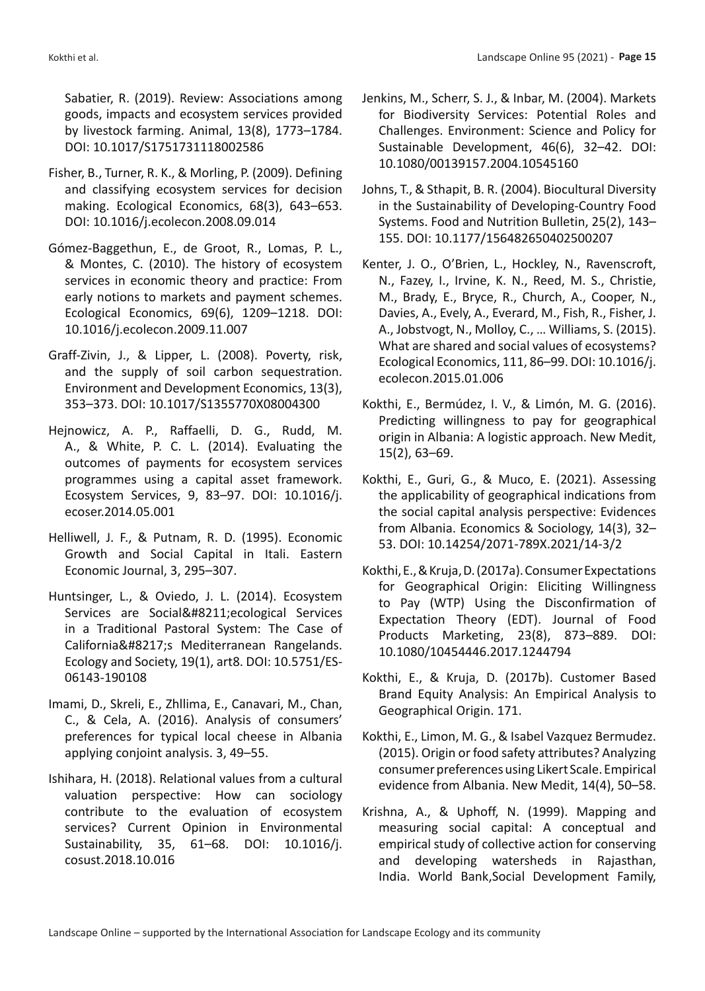Sabatier, R. (2019). Review: Associations among goods, impacts and ecosystem services provided by livestock farming. Animal, 13(8), 1773–1784. DOI: 10.1017/S1751731118002586

- Fisher, B., Turner, R. K., & Morling, P. (2009). Defining and classifying ecosystem services for decision making. Ecological Economics, 68(3), 643–653. DOI: 10.1016/j.ecolecon.2008.09.014
- Gómez-Baggethun, E., de Groot, R., Lomas, P. L., & Montes, C. (2010). The history of ecosystem services in economic theory and practice: From early notions to markets and payment schemes. Ecological Economics, 69(6), 1209–1218. DOI: 10.1016/j.ecolecon.2009.11.007
- Graff-Zivin, J., & Lipper, L. (2008). Poverty, risk, and the supply of soil carbon sequestration. Environment and Development Economics, 13(3), 353–373. DOI: 10.1017/S1355770X08004300
- Hejnowicz, A. P., Raffaelli, D. G., Rudd, M. A., & White, P. C. L. (2014). Evaluating the outcomes of payments for ecosystem services programmes using a capital asset framework. Ecosystem Services, 9, 83–97. DOI: 10.1016/j. ecoser.2014.05.001
- Helliwell, J. F., & Putnam, R. D. (1995). Economic Growth and Social Capital in Itali. Eastern Economic Journal, 3, 295–307.
- Huntsinger, L., & Oviedo, J. L. (2014). Ecosystem Services are Social–ecological Services in a Traditional Pastoral System: The Case of California's Mediterranean Rangelands. Ecology and Society, 19(1), art8. DOI: 10.5751/ES-06143-190108
- Imami, D., Skreli, E., Zhllima, E., Canavari, M., Chan, C., & Cela, A. (2016). Analysis of consumers' preferences for typical local cheese in Albania applying conjoint analysis. 3, 49–55.
- Ishihara, H. (2018). Relational values from a cultural valuation perspective: How can sociology contribute to the evaluation of ecosystem services? Current Opinion in Environmental Sustainability, 35, 61–68. DOI: 10.1016/j. cosust.2018.10.016
- Jenkins, M., Scherr, S. J., & Inbar, M. (2004). Markets for Biodiversity Services: Potential Roles and Challenges. Environment: Science and Policy for Sustainable Development, 46(6), 32–42. DOI: 10.1080/00139157.2004.10545160
- Johns, T., & Sthapit, B. R. (2004). Biocultural Diversity in the Sustainability of Developing-Country Food Systems. Food and Nutrition Bulletin, 25(2), 143– 155. DOI: 10.1177/156482650402500207
- Kenter, J. O., O'Brien, L., Hockley, N., Ravenscroft, N., Fazey, I., Irvine, K. N., Reed, M. S., Christie, M., Brady, E., Bryce, R., Church, A., Cooper, N., Davies, A., Evely, A., Everard, M., Fish, R., Fisher, J. A., Jobstvogt, N., Molloy, C., … Williams, S. (2015). What are shared and social values of ecosystems? Ecological Economics, 111, 86–99. DOI: 10.1016/j. ecolecon.2015.01.006
- Kokthi, E., Bermúdez, I. V., & Limón, M. G. (2016). Predicting willingness to pay for geographical origin in Albania: A logistic approach. New Medit, 15(2), 63–69.
- Kokthi, E., Guri, G., & Muco, E. (2021). Assessing the applicability of geographical indications from the social capital analysis perspective: Evidences from Albania. Economics & Sociology, 14(3), 32– 53. DOI: 10.14254/2071-789X.2021/14-3/2
- Kokthi, E., & Kruja, D. (2017a). Consumer Expectations for Geographical Origin: Eliciting Willingness to Pay (WTP) Using the Disconfirmation of Expectation Theory (EDT). Journal of Food Products Marketing, 23(8), 873–889. DOI: 10.1080/10454446.2017.1244794
- Kokthi, E., & Kruja, D. (2017b). Customer Based Brand Equity Analysis: An Empirical Analysis to Geographical Origin. 171.
- Kokthi, E., Limon, M. G., & Isabel Vazquez Bermudez. (2015). Origin or food safety attributes? Analyzing consumer preferences using Likert Scale. Empirical evidence from Albania. New Medit, 14(4), 50–58.
- Krishna, A., & Uphoff, N. (1999). Mapping and measuring social capital: A conceptual and empirical study of collective action for conserving and developing watersheds in Rajasthan, India. World Bank,Social Development Family,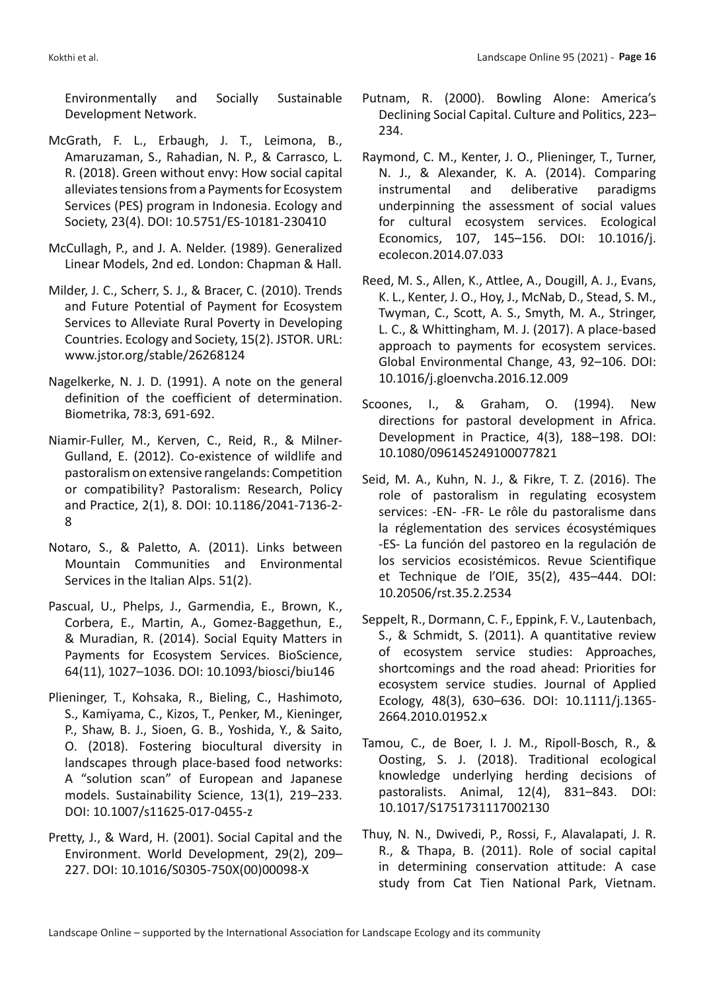Environmentally and Socially Sustainable Development Network.

- McGrath, F. L., Erbaugh, J. T., Leimona, B., Amaruzaman, S., Rahadian, N. P., & Carrasco, L. R. (2018). Green without envy: How social capital alleviates tensions from a Payments for Ecosystem Services (PES) program in Indonesia. Ecology and Society, 23(4). DOI: 10.5751/ES-10181-230410
- McCullagh, P., and J. A. Nelder. (1989). Generalized Linear Models, 2nd ed. London: Chapman & Hall.
- Milder, J. C., Scherr, S. J., & Bracer, C. (2010). Trends and Future Potential of Payment for Ecosystem Services to Alleviate Rural Poverty in Developing Countries. Ecology and Society, 15(2). JSTOR. URL: www.jstor.org/stable/26268124
- Nagelkerke, N. J. D. (1991). A note on the general definition of the coefficient of determination. Biometrika, 78:3, 691-692.
- Niamir-Fuller, M., Kerven, C., Reid, R., & Milner-Gulland, E. (2012). Co-existence of wildlife and pastoralism on extensive rangelands: Competition or compatibility? Pastoralism: Research, Policy and Practice, 2(1), 8. DOI: 10.1186/2041-7136-2- 8
- Notaro, S., & Paletto, A. (2011). Links between Mountain Communities and Environmental Services in the Italian Alps. 51(2).
- Pascual, U., Phelps, J., Garmendia, E., Brown, K., Corbera, E., Martin, A., Gomez-Baggethun, E., & Muradian, R. (2014). Social Equity Matters in Payments for Ecosystem Services. BioScience, 64(11), 1027–1036. DOI: 10.1093/biosci/biu146
- Plieninger, T., Kohsaka, R., Bieling, C., Hashimoto, S., Kamiyama, C., Kizos, T., Penker, M., Kieninger, P., Shaw, B. J., Sioen, G. B., Yoshida, Y., & Saito, O. (2018). Fostering biocultural diversity in landscapes through place-based food networks: A "solution scan" of European and Japanese models. Sustainability Science, 13(1), 219–233. DOI: 10.1007/s11625-017-0455-z
- Pretty, J., & Ward, H. (2001). Social Capital and the Environment. World Development, 29(2), 209– 227. DOI: 10.1016/S0305-750X(00)00098-X
- Putnam, R. (2000). Bowling Alone: America's Declining Social Capital. Culture and Politics, 223– 234.
- Raymond, C. M., Kenter, J. O., Plieninger, T., Turner, N. J., & Alexander, K. A. (2014). Comparing instrumental and deliberative paradigms underpinning the assessment of social values for cultural ecosystem services. Ecological Economics, 107, 145–156. DOI: 10.1016/j. ecolecon.2014.07.033
- Reed, M. S., Allen, K., Attlee, A., Dougill, A. J., Evans, K. L., Kenter, J. O., Hoy, J., McNab, D., Stead, S. M., Twyman, C., Scott, A. S., Smyth, M. A., Stringer, L. C., & Whittingham, M. J. (2017). A place-based approach to payments for ecosystem services. Global Environmental Change, 43, 92–106. DOI: 10.1016/j.gloenvcha.2016.12.009
- Scoones, I., & Graham, O. (1994). New directions for pastoral development in Africa. Development in Practice, 4(3), 188–198. DOI: 10.1080/096145249100077821
- Seid, M. A., Kuhn, N. J., & Fikre, T. Z. (2016). The role of pastoralism in regulating ecosystem services: -EN- -FR- Le rôle du pastoralisme dans la réglementation des services écosystémiques -ES- La función del pastoreo en la regulación de los servicios ecosistémicos. Revue Scientifique et Technique de l'OIE, 35(2), 435–444. DOI: 10.20506/rst.35.2.2534
- Seppelt, R., Dormann, C. F., Eppink, F. V., Lautenbach, S., & Schmidt, S. (2011). A quantitative review of ecosystem service studies: Approaches, shortcomings and the road ahead: Priorities for ecosystem service studies. Journal of Applied Ecology, 48(3), 630–636. DOI: 10.1111/j.1365- 2664.2010.01952.x
- Tamou, C., de Boer, I. J. M., Ripoll-Bosch, R., & Oosting, S. J. (2018). Traditional ecological knowledge underlying herding decisions of pastoralists. Animal, 12(4), 831–843. DOI: 10.1017/S1751731117002130
- Thuy, N. N., Dwivedi, P., Rossi, F., Alavalapati, J. R. R., & Thapa, B. (2011). Role of social capital in determining conservation attitude: A case study from Cat Tien National Park, Vietnam.